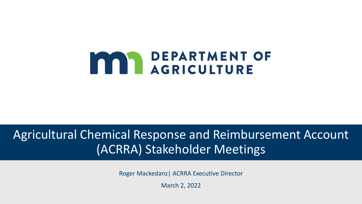# **MAN DEPARTMENT OF**

### Agricultural Chemical Response and Reimbursement Account (ACRRA) Stakeholder Meetings

Roger Mackedanz| ACRRA Executive Director

March 2, 2022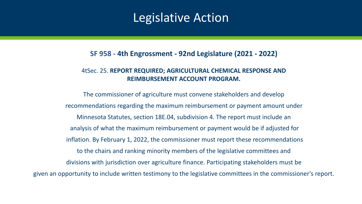### Legislative Action

### **SF 958 - 4th Engrossment - 92nd Legislature (2021 - 2022)**

#### 4tSec. 25. **REPORT REQUIRED; AGRICULTURAL CHEMICAL RESPONSE AND REIMBURSEMENT ACCOUNT PROGRAM.**

The commissioner of agriculture must convene stakeholders and develop recommendations regarding the maximum reimbursement or payment amount under Minnesota Statutes, section 18E.04, subdivision 4. The report must include an analysis of what the maximum reimbursement or payment would be if adjusted for inflation. By February 1, 2022, the commissioner must report these recommendations to the chairs and ranking minority members of the legislative committees and divisions with jurisdiction over agriculture finance. Participating stakeholders must be given an opportunity to include written testimony to the legislative committees in the commissioner's report.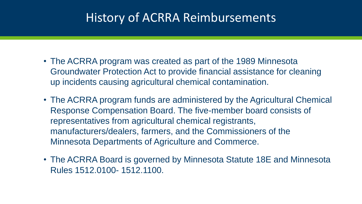### History of ACRRA Reimbursements

- The ACRRA program was created as part of the 1989 Minnesota Groundwater Protection Act to provide financial assistance for cleaning up incidents causing agricultural chemical contamination.
- The ACRRA program funds are administered by the Agricultural Chemical Response Compensation Board. The five-member board consists of representatives from agricultural chemical registrants, manufacturers/dealers, farmers, and the Commissioners of the Minnesota Departments of Agriculture and Commerce.
- The ACRRA Board is governed by Minnesota Statute 18E and Minnesota Rules 1512.0100- 1512.1100.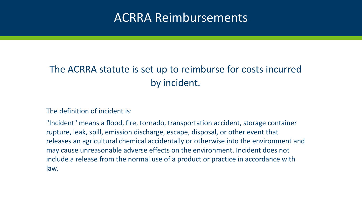### ACRRA Reimbursements

### The ACRRA statute is set up to reimburse for costs incurred by incident.

The definition of incident is:

"Incident" means a flood, fire, tornado, transportation accident, storage container rupture, leak, spill, emission discharge, escape, disposal, or other event that releases an agricultural chemical accidentally or otherwise into the environment and may cause unreasonable adverse effects on the environment. Incident does not include a release from the normal use of a product or practice in accordance with law.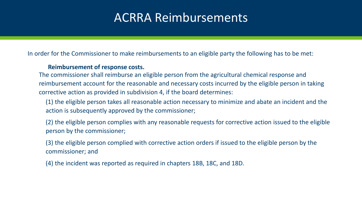### ACRRA Reimbursements

In order for the Commissioner to make reimbursements to an eligible party the following has to be met:

#### **Reimbursement of response costs.**

The commissioner shall reimburse an eligible person from the agricultural chemical response and reimbursement account for the reasonable and necessary costs incurred by the eligible person in taking corrective action as provided in subdivision 4, if the board determines:

(1) the eligible person takes all reasonable action necessary to minimize and abate an incident and the action is subsequently approved by the commissioner;

(2) the eligible person complies with any reasonable requests for corrective action issued to the eligible person by the commissioner;

(3) the eligible person complied with corrective action orders if issued to the eligible person by the commissioner; and

(4) the incident was reported as required in chapters 18B, 18C, and 18D.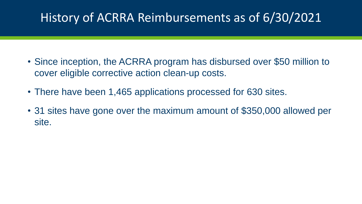## History of ACRRA Reimbursements as of 6/30/2021

- Since inception, the ACRRA program has disbursed over \$50 million to cover eligible corrective action clean-up costs.
- There have been 1,465 applications processed for 630 sites.
- 31 sites have gone over the maximum amount of \$350,000 allowed per site.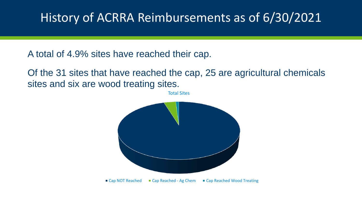### History of ACRRA Reimbursements as of 6/30/2021

A total of 4.9% sites have reached their cap.

Of the 31 sites that have reached the cap, 25 are agricultural chemicals sites and six are wood treating sites.

Total Sites

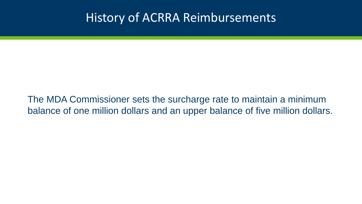### History of ACRRA Reimbursements

The MDA Commissioner sets the surcharge rate to maintain a minimum balance of one million dollars and an upper balance of five million dollars.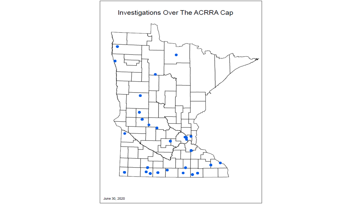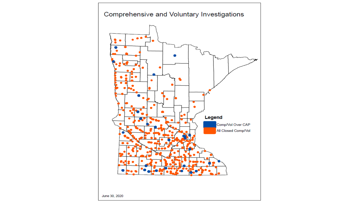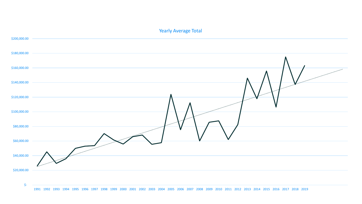#### Yearly Average Total



1991 1992 1993 1994 1995 1996 1997 1998 1999 2000 2001 2002 2003 2004 2005 2006 2007 2008 2009 2010 2011 2012 2013 2014 2015 2016 2017 2018 2019

\$-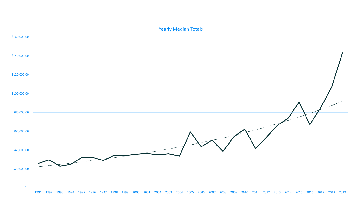

#### Yearly Median Totals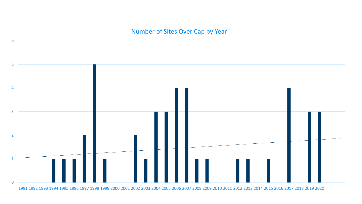### Number of Sites Over Cap by Year

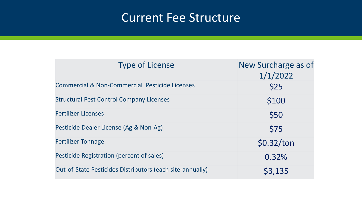### Current Fee Structure

| <b>Type of License</b>                                    | New Surcharge as of<br>1/1/2022 |
|-----------------------------------------------------------|---------------------------------|
| <b>Commercial &amp; Non-Commercial Pesticide Licenses</b> | \$25                            |
| <b>Structural Pest Control Company Licenses</b>           | \$100                           |
| <b>Fertilizer Licenses</b>                                | \$50                            |
| Pesticide Dealer License (Ag & Non-Ag)                    | \$75                            |
| <b>Fertilizer Tonnage</b>                                 | \$0.32/ton                      |
| Pesticide Registration (percent of sales)                 | 0.32%                           |
| Out-of-State Pesticides Distributors (each site-annually) | \$3,135                         |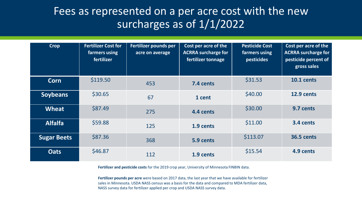### Fees as represented on a per acre cost with the new surcharges as of  $1/1/2022$

| <b>Crop</b>        | <b>Fertilizer Cost for</b><br>farmers using<br>fertilizer | Fertilizer pounds per<br>acre on average | Cost per acre of the<br><b>ACRRA surcharge for</b><br>fertilizer tonnage | <b>Pesticide Cost</b><br>farmers using<br><b>pesticides</b> | Cost per acre of the<br><b>ACRRA surcharge for</b><br>pesticide percent of<br>gross sales |
|--------------------|-----------------------------------------------------------|------------------------------------------|--------------------------------------------------------------------------|-------------------------------------------------------------|-------------------------------------------------------------------------------------------|
| <b>Corn</b>        | \$119.50                                                  | 453                                      | 7.4 cents                                                                | \$31.53                                                     | <b>10.1 cents</b>                                                                         |
| <b>Soybeans</b>    | \$30.65                                                   | 67                                       | 1 cent                                                                   | \$40.00                                                     | 12.9 cents                                                                                |
| <b>Wheat</b>       | \$87.49                                                   | 275                                      | 4.4 cents                                                                | \$30.00                                                     | 9.7 cents                                                                                 |
| <b>Alfalfa</b>     | \$59.88                                                   | 125                                      | 1.9 cents                                                                | \$11.00                                                     | 3.4 cents                                                                                 |
| <b>Sugar Beets</b> | \$87.36                                                   | 368                                      | 5.9 cents                                                                | \$113.07                                                    | <b>36.5 cents</b>                                                                         |
| <b>Oats</b>        | \$46.87                                                   | 112                                      | 1.9 cents                                                                | \$15.54                                                     | 4.9 cents                                                                                 |

**Fertilizer and pesticide costs** for the 2019 crop year, University of Minnesota FINBIN data.

**Fertilizer pounds per acre** were based on 2017 data, the last year that we have available for fertilizer sales in Minnesota. USDA NASS census was a basis for the data and compared to MDA fertilizer data, NASS survey data for fertilizer applied per crop and USDA NASS survey data.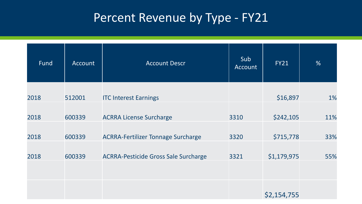# Percent Revenue by Type - FY21

| Fund | Account | <b>Account Descr</b>                        | Sub<br>Account | <b>FY21</b> | %   |
|------|---------|---------------------------------------------|----------------|-------------|-----|
| 2018 | 512001  | <b>ITC Interest Earnings</b>                |                | \$16,897    | 1%  |
| 2018 | 600339  | <b>ACRRA License Surcharge</b>              | 3310           | \$242,105   | 11% |
| 2018 | 600339  | <b>ACRRA-Fertilizer Tonnage Surcharge</b>   | 3320           | \$715,778   | 33% |
| 2018 | 600339  | <b>ACRRA-Pesticide Gross Sale Surcharge</b> | 3321           | \$1,179,975 | 55% |
|      |         |                                             |                | \$2,154,755 |     |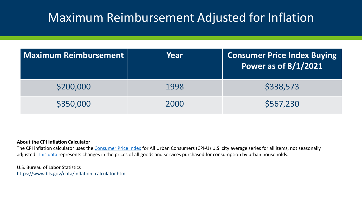### Maximum Reimbursement Adjusted for Inflation

| <b>Maximum Reimbursement</b> | Year | <b>Consumer Price Index Buying</b><br>Power as of 8/1/2021 |
|------------------------------|------|------------------------------------------------------------|
| \$200,000                    | 1998 | \$338,573                                                  |
| \$350,000                    | 2000 | \$567,230                                                  |

#### **About the CPI Inflation Calculator**

The CPI inflation calculator uses the [Consumer Price Index](https://www.bls.gov/cpi/) for All Urban Consumers (CPI-U) U.S. city average series for all items, not seasonally adjusted. [This data](https://data.bls.gov/timeseries/CUUR0000SA0) represents changes in the prices of all goods and services purchased for consumption by urban households.

U.S. Bureau of Labor Statistics https://www.bls.gov/data/inflation\_calculator.htm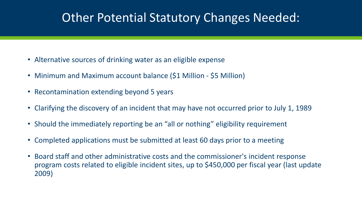### Other Potential Statutory Changes Needed:

- Alternative sources of drinking water as an eligible expense
- Minimum and Maximum account balance (\$1 Million \$5 Million)
- Recontamination extending beyond 5 years
- Clarifying the discovery of an incident that may have not occurred prior to July 1, 1989
- Should the immediately reporting be an "all or nothing" eligibility requirement
- Completed applications must be submitted at least 60 days prior to a meeting
- Board staff and other administrative costs and the commissioner's incident response program costs related to eligible incident sites, up to \$450,000 per fiscal year (last update 2009)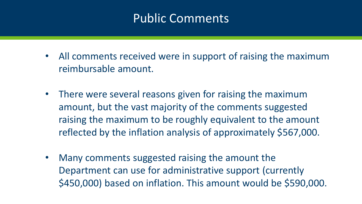### Public Comments

- All comments received were in support of raising the maximum reimbursable amount.
- There were several reasons given for raising the maximum amount, but the vast majority of the comments suggested raising the maximum to be roughly equivalent to the amount reflected by the inflation analysis of approximately \$567,000.
- Many comments suggested raising the amount the Department can use for administrative support (currently \$450,000) based on inflation. This amount would be \$590,000.